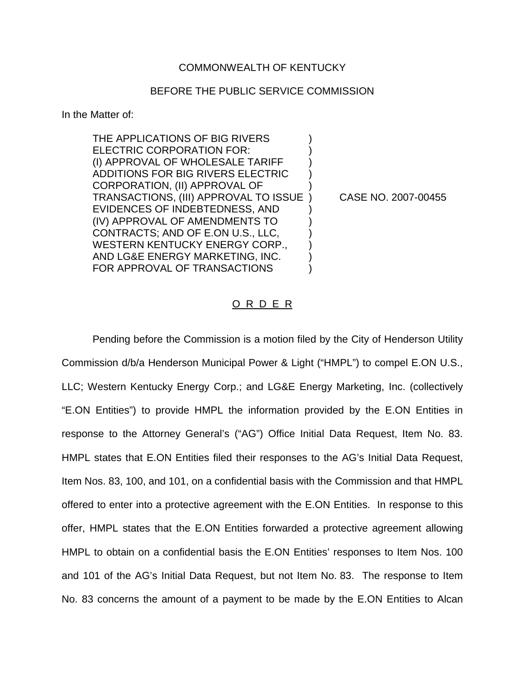## COMMONWEALTH OF KENTUCKY

## BEFORE THE PUBLIC SERVICE COMMISSION

In the Matter of:

THE APPLICATIONS OF BIG RIVERS ELECTRIC CORPORATION FOR: (I) APPROVAL OF WHOLESALE TARIFF ) ADDITIONS FOR BIG RIVERS ELECTRIC ) CORPORATION, (II) APPROVAL OF ) TRANSACTIONS, (III) APPROVAL TO ISSUE ) CASE NO. 2007-00455 EVIDENCES OF INDEBTEDNESS, AND ) (IV) APPROVAL OF AMENDMENTS TO ) CONTRACTS; AND OF E.ON U.S., LLC, ) WESTERN KENTUCKY ENERGY CORP., AND LG&E ENERGY MARKETING, INC. ) FOR APPROVAL OF TRANSACTIONS

## O R D E R

Pending before the Commission is a motion filed by the City of Henderson Utility Commission d/b/a Henderson Municipal Power & Light ("HMPL") to compel E.ON U.S., LLC; Western Kentucky Energy Corp.; and LG&E Energy Marketing, Inc. (collectively "E.ON Entities") to provide HMPL the information provided by the E.ON Entities in response to the Attorney General's ("AG") Office Initial Data Request, Item No. 83. HMPL states that E.ON Entities filed their responses to the AG's Initial Data Request, Item Nos. 83, 100, and 101, on a confidential basis with the Commission and that HMPL offered to enter into a protective agreement with the E.ON Entities. In response to this offer, HMPL states that the E.ON Entities forwarded a protective agreement allowing HMPL to obtain on a confidential basis the E.ON Entities' responses to Item Nos. 100 and 101 of the AG's Initial Data Request, but not Item No. 83. The response to Item No. 83 concerns the amount of a payment to be made by the E.ON Entities to Alcan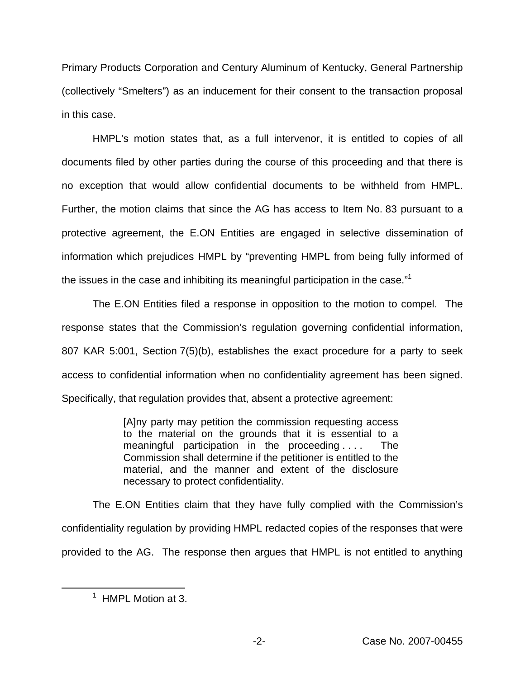Primary Products Corporation and Century Aluminum of Kentucky, General Partnership (collectively "Smelters") as an inducement for their consent to the transaction proposal in this case.

HMPL's motion states that, as a full intervenor, it is entitled to copies of all documents filed by other parties during the course of this proceeding and that there is no exception that would allow confidential documents to be withheld from HMPL. Further, the motion claims that since the AG has access to Item No. 83 pursuant to a protective agreement, the E.ON Entities are engaged in selective dissemination of information which prejudices HMPL by "preventing HMPL from being fully informed of the issues in the case and inhibiting its meaningful participation in the case."<sup>1</sup>

The E.ON Entities filed a response in opposition to the motion to compel. The response states that the Commission's regulation governing confidential information, 807 KAR 5:001, Section 7(5)(b), establishes the exact procedure for a party to seek access to confidential information when no confidentiality agreement has been signed. Specifically, that regulation provides that, absent a protective agreement:

> [A]ny party may petition the commission requesting access to the material on the grounds that it is essential to a meaningful participation in the proceeding . . . . The Commission shall determine if the petitioner is entitled to the material, and the manner and extent of the disclosure necessary to protect confidentiality.

The E.ON Entities claim that they have fully complied with the Commission's confidentiality regulation by providing HMPL redacted copies of the responses that were provided to the AG. The response then argues that HMPL is not entitled to anything

 $<sup>1</sup>$  HMPL Motion at 3.</sup>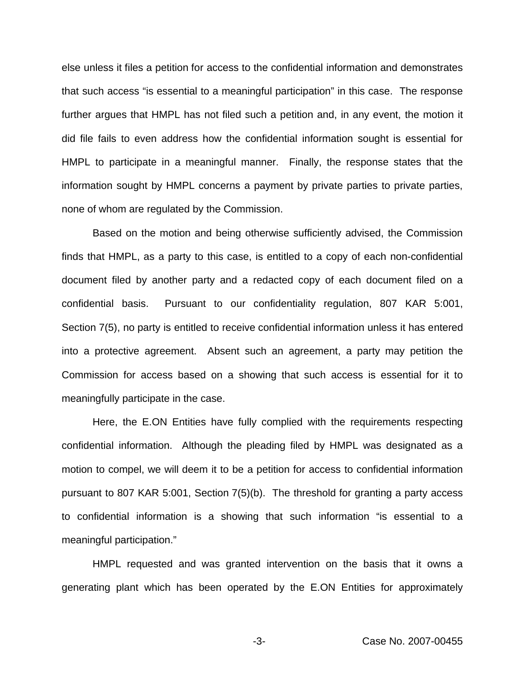else unless it files a petition for access to the confidential information and demonstrates that such access "is essential to a meaningful participation" in this case. The response further argues that HMPL has not filed such a petition and, in any event, the motion it did file fails to even address how the confidential information sought is essential for HMPL to participate in a meaningful manner. Finally, the response states that the information sought by HMPL concerns a payment by private parties to private parties, none of whom are regulated by the Commission.

Based on the motion and being otherwise sufficiently advised, the Commission finds that HMPL, as a party to this case, is entitled to a copy of each non-confidential document filed by another party and a redacted copy of each document filed on a confidential basis. Pursuant to our confidentiality regulation, 807 KAR 5:001, Section 7(5), no party is entitled to receive confidential information unless it has entered into a protective agreement. Absent such an agreement, a party may petition the Commission for access based on a showing that such access is essential for it to meaningfully participate in the case.

Here, the E.ON Entities have fully complied with the requirements respecting confidential information. Although the pleading filed by HMPL was designated as a motion to compel, we will deem it to be a petition for access to confidential information pursuant to 807 KAR 5:001, Section 7(5)(b). The threshold for granting a party access to confidential information is a showing that such information "is essential to a meaningful participation."

HMPL requested and was granted intervention on the basis that it owns a generating plant which has been operated by the E.ON Entities for approximately